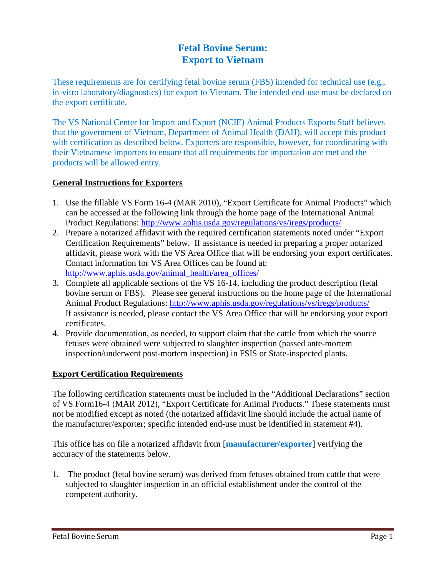## **Fetal Bovine Serum: Export to Vietnam**

These requirements are for certifying fetal bovine serum (FBS) intended for technical use (e.g., in-vitro laboratory/diagnostics) for export to Vietnam. The intended end-use must be declared on the export certificate.

The VS National Center for Import and Export (NCIE) Animal Products Exports Staff believes that the government of Vietnam, Department of Animal Health (DAH), will accept this product with certification as described below. Exporters are responsible, however, for coordinating with their Vietnamese importers to ensure that all requirements for importation are met and the products will be allowed entry.

## **General Instructions for Exporters**

- 1. Use the fillable VS Form 16-4 (MAR 2010), "Export Certificate for Animal Products" which can be accessed at the following link through the home page of the International Animal Product Regulations:<http://www.aphis.usda.gov/regulations/vs/iregs/products/>
- 2. Prepare a notarized affidavit with the required certification statements noted under "Export Certification Requirements" below. If assistance is needed in preparing a proper notarized affidavit, please work with the VS Area Office that will be endorsing your export certificates. Contact information for VS Area Offices can be found at: [http://www.aphis.usda.gov/animal\\_health/area\\_offices/](http://www.aphis.usda.gov/animal_health/area_offices/)
- 3. Complete all applicable sections of the VS 16-14, including the product description (fetal bovine serum or FBS). Please see general instructions on the home page of the International Animal Product Regulations:<http://www.aphis.usda.gov/regulations/vs/iregs/products/> If assistance is needed, please contact the VS Area Office that will be endorsing your export certificates.
- 4. Provide documentation, as needed, to support claim that the cattle from which the source fetuses were obtained were subjected to slaughter inspection (passed ante-mortem inspection/underwent post-mortem inspection) in FSIS or State-inspected plants.

## **Export Certification Requirements**

The following certification statements must be included in the "Additional Declarations" section of VS Form16-4 (MAR 2012), "Export Certificate for Animal Products." These statements must not be modified except as noted (the notarized affidavit line should include the actual name of the manufacturer/exporter; specific intended end-use must be identified in statement #4).

This office has on file a notarized affidavit from [**manufacturer/exporter**] verifying the accuracy of the statements below.

1. The product (fetal bovine serum) was derived from fetuses obtained from cattle that were subjected to slaughter inspection in an official establishment under the control of the competent authority.